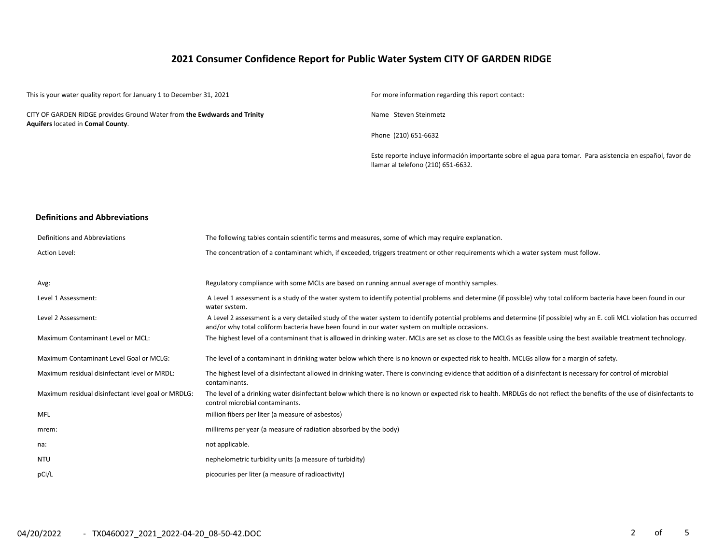# **2021 Consumer Confidence Report for Public Water System CITY OF GARDEN RIDGE**

This is your water quality report for January 1 to December 31, 2021 For more information regarding this report contact: CITY OF GARDEN RIDGE provides Ground Water from **the Ewdwards and Trinity Aquifers** located in **Comal County**. Name Steven Steinmetz Phone (210) 651-6632 Este reporte incluye información importante sobre el agua para tomar. Para asistencia en español, favor de llamar al telefono (210) 651-6632.

#### **Definitions and Abbreviations**

| Definitions and Abbreviations                      | The following tables contain scientific terms and measures, some of which may require explanation.                                                                                                                                                                      |
|----------------------------------------------------|-------------------------------------------------------------------------------------------------------------------------------------------------------------------------------------------------------------------------------------------------------------------------|
| <b>Action Level:</b>                               | The concentration of a contaminant which, if exceeded, triggers treatment or other requirements which a water system must follow.                                                                                                                                       |
|                                                    |                                                                                                                                                                                                                                                                         |
| Avg:                                               | Regulatory compliance with some MCLs are based on running annual average of monthly samples.                                                                                                                                                                            |
| Level 1 Assessment:                                | A Level 1 assessment is a study of the water system to identify potential problems and determine (if possible) why total coliform bacteria have been found in our<br>water system.                                                                                      |
| Level 2 Assessment:                                | A Level 2 assessment is a very detailed study of the water system to identify potential problems and determine (if possible) why an E. coli MCL violation has occurred<br>and/or why total coliform bacteria have been found in our water system on multiple occasions. |
| Maximum Contaminant Level or MCL:                  | The highest level of a contaminant that is allowed in drinking water. MCLs are set as close to the MCLGs as feasible using the best available treatment technology.                                                                                                     |
| Maximum Contaminant Level Goal or MCLG:            | The level of a contaminant in drinking water below which there is no known or expected risk to health. MCLGs allow for a margin of safety.                                                                                                                              |
| Maximum residual disinfectant level or MRDL:       | The highest level of a disinfectant allowed in drinking water. There is convincing evidence that addition of a disinfectant is necessary for control of microbial<br>contaminants.                                                                                      |
| Maximum residual disinfectant level goal or MRDLG: | The level of a drinking water disinfectant below which there is no known or expected risk to health. MRDLGs do not reflect the benefits of the use of disinfectants to<br>control microbial contaminants.                                                               |
| <b>MFL</b>                                         | million fibers per liter (a measure of asbestos)                                                                                                                                                                                                                        |
| mrem:                                              | millirems per year (a measure of radiation absorbed by the body)                                                                                                                                                                                                        |
| na:                                                | not applicable.                                                                                                                                                                                                                                                         |
| <b>NTU</b>                                         | nephelometric turbidity units (a measure of turbidity)                                                                                                                                                                                                                  |
| pCi/L                                              | picocuries per liter (a measure of radioactivity)                                                                                                                                                                                                                       |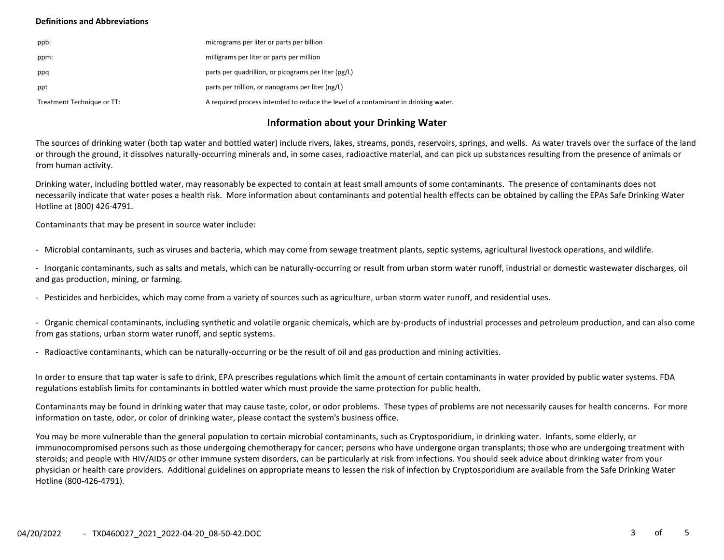### **Definitions and Abbreviations**

| ppb:                       | micrograms per liter or parts per billion                                           |
|----------------------------|-------------------------------------------------------------------------------------|
| ppm:                       | milligrams per liter or parts per million                                           |
| ppq                        | parts per quadrillion, or picograms per liter (pg/L)                                |
| ppt                        | parts per trillion, or nanograms per liter (ng/L)                                   |
| Treatment Technique or TT: | A required process intended to reduce the level of a contaminant in drinking water. |

# **Information about your Drinking Water**

The sources of drinking water (both tap water and bottled water) include rivers, lakes, streams, ponds, reservoirs, springs, and wells. As water travels over the surface of the land or through the ground, it dissolves naturally-occurring minerals and, in some cases, radioactive material, and can pick up substances resulting from the presence of animals or from human activity.

Drinking water, including bottled water, may reasonably be expected to contain at least small amounts of some contaminants. The presence of contaminants does not necessarily indicate that water poses a health risk. More information about contaminants and potential health effects can be obtained by calling the EPAs Safe Drinking Water Hotline at (800) 426-4791.

Contaminants that may be present in source water include:

- Microbial contaminants, such as viruses and bacteria, which may come from sewage treatment plants, septic systems, agricultural livestock operations, and wildlife.

- Inorganic contaminants, such as salts and metals, which can be naturally-occurring or result from urban storm water runoff, industrial or domestic wastewater discharges, oil and gas production, mining, or farming.

- Pesticides and herbicides, which may come from a variety of sources such as agriculture, urban storm water runoff, and residential uses.

- Organic chemical contaminants, including synthetic and volatile organic chemicals, which are by-products of industrial processes and petroleum production, and can also come from gas stations, urban storm water runoff, and septic systems.

- Radioactive contaminants, which can be naturally-occurring or be the result of oil and gas production and mining activities.

In order to ensure that tap water is safe to drink, EPA prescribes regulations which limit the amount of certain contaminants in water provided by public water systems. FDA regulations establish limits for contaminants in bottled water which must provide the same protection for public health.

Contaminants may be found in drinking water that may cause taste, color, or odor problems. These types of problems are not necessarily causes for health concerns. For more information on taste, odor, or color of drinking water, please contact the system's business office.

You may be more vulnerable than the general population to certain microbial contaminants, such as Cryptosporidium, in drinking water. Infants, some elderly, or immunocompromised persons such as those undergoing chemotherapy for cancer; persons who have undergone organ transplants; those who are undergoing treatment with steroids; and people with HIV/AIDS or other immune system disorders, can be particularly at risk from infections. You should seek advice about drinking water from your physician or health care providers. Additional guidelines on appropriate means to lessen the risk of infection by Cryptosporidium are available from the Safe Drinking Water Hotline (800-426-4791).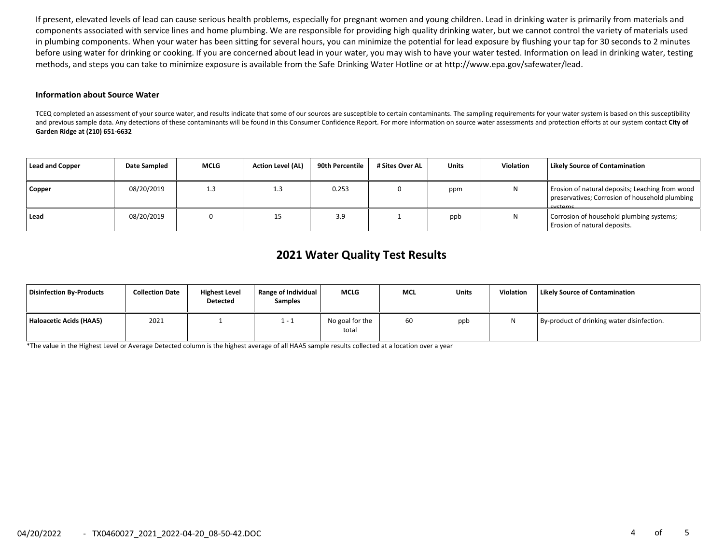If present, elevated levels of lead can cause serious health problems, especially for pregnant women and young children. Lead in drinking water is primarily from materials and components associated with service lines and home plumbing. We are responsible for providing high quality drinking water, but we cannot control the variety of materials used in plumbing components. When your water has been sitting for several hours, you can minimize the potential for lead exposure by flushing your tap for 30 seconds to 2 minutes before using water for drinking or cooking. If you are concerned about lead in your water, you may wish to have your water tested. Information on lead in drinking water, testing methods, and steps you can take to minimize exposure is available from the Safe Drinking Water Hotline or at http://www.epa.gov/safewater/lead.

#### **Information about Source Water**

TCEQ completed an assessment of your source water, and results indicate that some of our sources are susceptible to certain contaminants. The sampling requirements for your water system is based on this susceptibility and previous sample data. Any detections of these contaminants will be found in this Consumer Confidence Report. For more information on source water assessments and protection efforts at our system contact **City of Garden Ridge at (210) 651-6632**

| Lead and Copper | Date Sampled | <b>MCLG</b> | <b>Action Level (AL)</b> | 90th Percentile | # Sites Over AL | <b>Units</b> | <b>Violation</b> | <b>Likely Source of Contamination</b>                                                                               |
|-----------------|--------------|-------------|--------------------------|-----------------|-----------------|--------------|------------------|---------------------------------------------------------------------------------------------------------------------|
| Copper          | 08/20/2019   | 1.3         | 1.3                      | 0.253           |                 | ppm          |                  | Erosion of natural deposits; Leaching from wood<br>preservatives; Corrosion of household plumbing<br><b>Cyctame</b> |
| Lead            | 08/20/2019   |             |                          | 3.9             |                 | ppb          |                  | Corrosion of household plumbing systems;<br>Erosion of natural deposits.                                            |

# **2021 Water Quality Test Results**

| Disinfection By-Products | <b>Collection Date</b> | <b>Highest Level</b><br><b>Detected</b> | <b>Range of Individual</b><br><b>Samples</b> | <b>MCLG</b>              | <b>MCL</b> | <b>Units</b> | <b>Violation</b> | Likely Source of Contamination             |
|--------------------------|------------------------|-----------------------------------------|----------------------------------------------|--------------------------|------------|--------------|------------------|--------------------------------------------|
| Haloacetic Acids (HAA5)  | 2021                   |                                         | 1 - 1                                        | No goal for the<br>total | 60         | ppb          |                  | By-product of drinking water disinfection. |

\*The value in the Highest Level or Average Detected column is the highest average of all HAA5 sample results collected at a location over a year